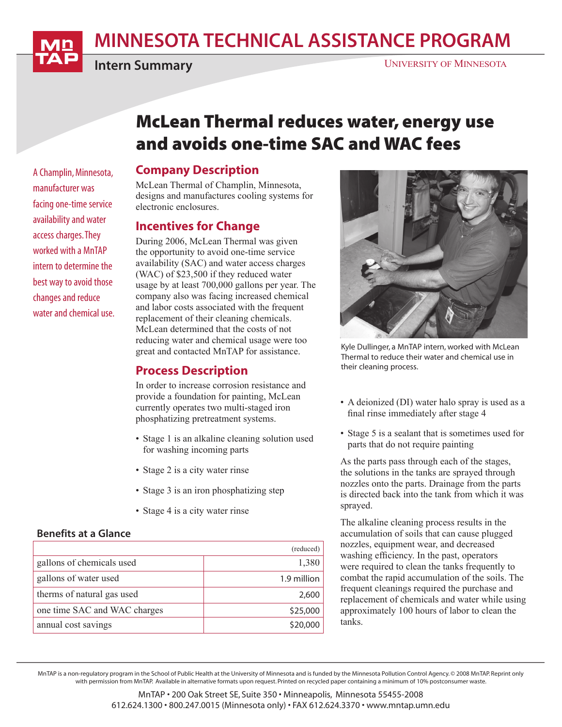# MINNESOTA TECHNICAL ASSISTANCE PROGRAM



A Champlin, Minnesota, manufacturer was facing one-time service availability and water access charges. They worked with a MnTAP intern to determine the best way to avoid those changes and reduce water and chemical use.

Intern Summary

#### UNIVERSITY OF MINNESOTA

## McLean Thermal reduces water, energy use and avoids one-time SAC and WAC fees

## Company Description

McLean Thermal of Champlin, Minnesota, designs and manufactures cooling systems for electronic enclosures.

## Incentives for Change

During 2006, McLean Thermal was given the opportunity to avoid one-time service availability (SAC) and water access charges (WAC) of \$23,500 if they reduced water usage by at least 700,000 gallons per year. The company also was facing increased chemical and labor costs associated with the frequent replacement of their cleaning chemicals. McLean determined that the costs of not reducing water and chemical usage were too great and contacted MnTAP for assistance.

## Process Description

In order to increase corrosion resistance and provide a foundation for painting, McLean currently operates two multi-staged iron phosphatizing pretreatment systems.

- Stage 1 is an alkaline cleaning solution used for washing incoming parts
- Stage 2 is a city water rinse
- Stage 3 is an iron phosphatizing step
- Stage 4 is a city water rinse

#### Benefits at a Glance

|                              | (reduced)   |
|------------------------------|-------------|
| gallons of chemicals used    | 1,380       |
| gallons of water used        | 1.9 million |
| therms of natural gas used   | 2,600       |
| one time SAC and WAC charges | \$25,000    |
| annual cost savings          | \$20,000    |



Kyle Dullinger, a MnTAP intern, worked with McLean Thermal to reduce their water and chemical use in their cleaning process.

- A deionized (DI) water halo spray is used as a final rinse immediately after stage 4
- Stage 5 is a sealant that is sometimes used for parts that do not require painting

As the parts pass through each of the stages, the solutions in the tanks are sprayed through nozzles onto the parts. Drainage from the parts is directed back into the tank from which it was sprayed.

The alkaline cleaning process results in the accumulation of soils that can cause plugged nozzles, equipment wear, and decreased washing efficiency. In the past, operators were required to clean the tanks frequently to combat the rapid accumulation of the soils. The frequent cleanings required the purchase and replacement of chemicals and water while using approximately 100 hours of labor to clean the tanks.

MnTAP is a non-regulatory program in the School of Public Health at the University of Minnesota and is funded by the Minnesota Pollution Control Agency. © 2008 MnTAP. Reprint only with permission from MnTAP. Available in alternative formats upon request. Printed on recycled paper containing a minimum of 10% postconsumer waste.